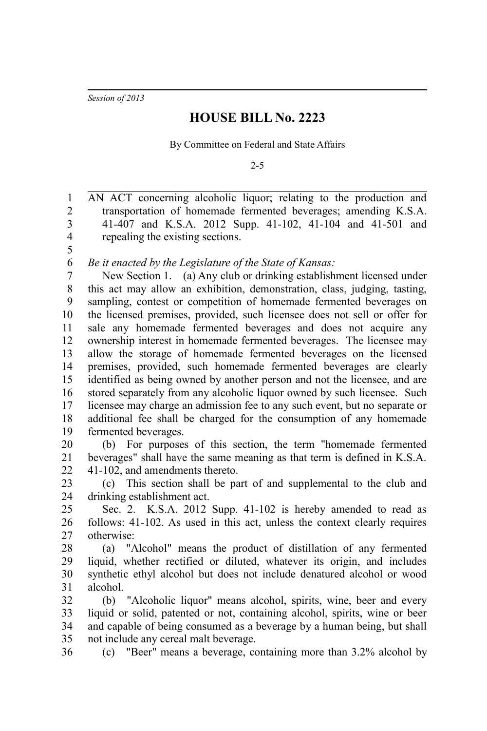*Session of 2013*

5

## **HOUSE BILL No. 2223**

By Committee on Federal and State Affairs

2-5

AN ACT concerning alcoholic liquor; relating to the production and transportation of homemade fermented beverages; amending K.S.A. 41-407 and K.S.A. 2012 Supp. 41-102, 41-104 and 41-501 and repealing the existing sections. 1 2 3 4

*Be it enacted by the Legislature of the State of Kansas:* 6

New Section 1. (a) Any club or drinking establishment licensed under this act may allow an exhibition, demonstration, class, judging, tasting, sampling, contest or competition of homemade fermented beverages on the licensed premises, provided, such licensee does not sell or offer for sale any homemade fermented beverages and does not acquire any ownership interest in homemade fermented beverages. The licensee may allow the storage of homemade fermented beverages on the licensed premises, provided, such homemade fermented beverages are clearly identified as being owned by another person and not the licensee, and are stored separately from any alcoholic liquor owned by such licensee. Such licensee may charge an admission fee to any such event, but no separate or additional fee shall be charged for the consumption of any homemade fermented beverages. 7 8 9 10 11 12 13 14 15 16 17 18 19

(b) For purposes of this section, the term "homemade fermented beverages" shall have the same meaning as that term is defined in K.S.A. 41-102, and amendments thereto. 20 21 22

(c) This section shall be part of and supplemental to the club and drinking establishment act. 23 24

Sec. 2. K.S.A. 2012 Supp. 41-102 is hereby amended to read as follows: 41-102. As used in this act, unless the context clearly requires otherwise: 25 26 27

(a) "Alcohol" means the product of distillation of any fermented liquid, whether rectified or diluted, whatever its origin, and includes synthetic ethyl alcohol but does not include denatured alcohol or wood alcohol. 28 29 30 31

(b) "Alcoholic liquor" means alcohol, spirits, wine, beer and every liquid or solid, patented or not, containing alcohol, spirits, wine or beer and capable of being consumed as a beverage by a human being, but shall not include any cereal malt beverage. 32 33 34 35

36

(c) "Beer" means a beverage, containing more than 3.2% alcohol by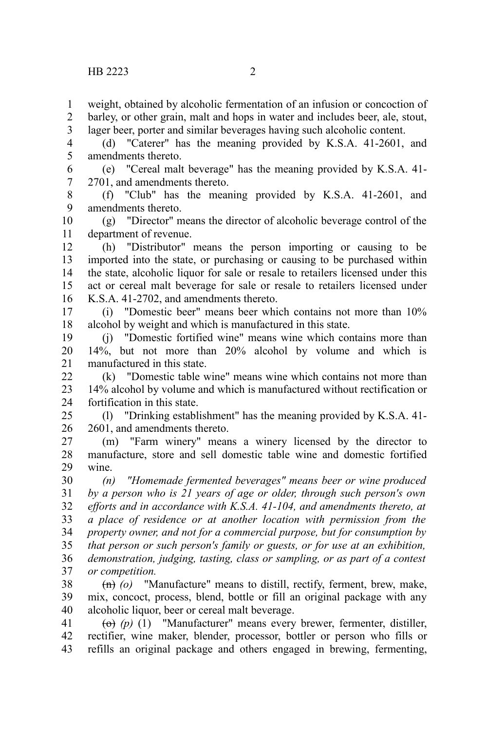weight, obtained by alcoholic fermentation of an infusion or concoction of 1

barley, or other grain, malt and hops in water and includes beer, ale, stout, 2

lager beer, porter and similar beverages having such alcoholic content. 3

(d) "Caterer" has the meaning provided by K.S.A. 41-2601, and amendments thereto. 4 5

(e) "Cereal malt beverage" has the meaning provided by K.S.A. 41- 2701, and amendments thereto. 6 7

(f) "Club" has the meaning provided by K.S.A. 41-2601, and amendments thereto. 8 9

(g) "Director" means the director of alcoholic beverage control of the department of revenue. 10 11

(h) "Distributor" means the person importing or causing to be imported into the state, or purchasing or causing to be purchased within the state, alcoholic liquor for sale or resale to retailers licensed under this act or cereal malt beverage for sale or resale to retailers licensed under K.S.A. 41-2702, and amendments thereto. 12 13 14 15 16

(i) "Domestic beer" means beer which contains not more than 10% alcohol by weight and which is manufactured in this state. 17 18

(j) "Domestic fortified wine" means wine which contains more than 14%, but not more than 20% alcohol by volume and which is manufactured in this state. 19 20 21

(k) "Domestic table wine" means wine which contains not more than 14% alcohol by volume and which is manufactured without rectification or fortification in this state. 22 23 24

(l) "Drinking establishment" has the meaning provided by K.S.A. 41- 2601, and amendments thereto. 25 26

(m) "Farm winery" means a winery licensed by the director to manufacture, store and sell domestic table wine and domestic fortified wine. 27 28 29

*(n) "Homemade fermented beverages" means beer or wine produced by a person who is 21 years of age or older, through such person's own efforts and in accordance with K.S.A. 41-104, and amendments thereto, at a place of residence or at another location with permission from the property owner, and not for a commercial purpose, but for consumption by that person or such person's family or guests, or for use at an exhibition, demonstration, judging, tasting, class or sampling, or as part of a contest or competition.* 30 31 32 33 34 35 36 37

(n) *(o)* "Manufacture" means to distill, rectify, ferment, brew, make, mix, concoct, process, blend, bottle or fill an original package with any alcoholic liquor, beer or cereal malt beverage. 38 39 40

 $\overline{(0)}$  (p) (1) "Manufacturer" means every brewer, fermenter, distiller, rectifier, wine maker, blender, processor, bottler or person who fills or refills an original package and others engaged in brewing, fermenting, 41 42 43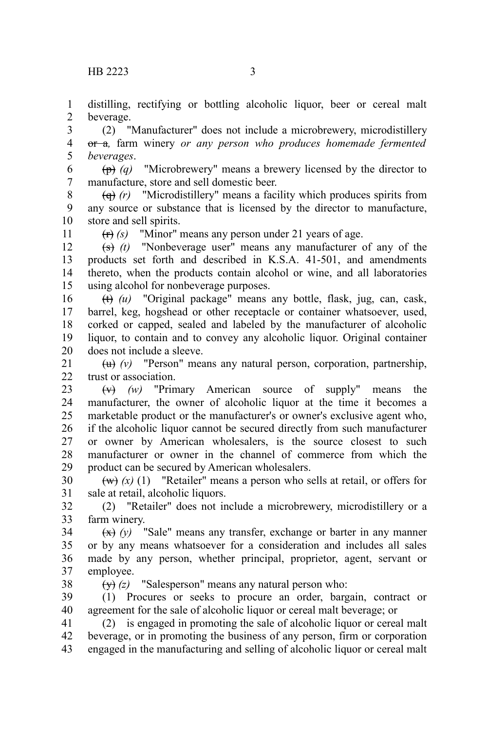distilling, rectifying or bottling alcoholic liquor, beer or cereal malt beverage. 1 2

(2) "Manufacturer" does not include a microbrewery, microdistillery or a*,* farm winery *or any person who produces homemade fermented beverages*. 3 4 5

(p) *(q)* "Microbrewery" means a brewery licensed by the director to manufacture, store and sell domestic beer. 6 7

(q) *(r)* "Microdistillery" means a facility which produces spirits from any source or substance that is licensed by the director to manufacture, store and sell spirits. 8 9 10

11

(r) *(s)* "Minor" means any person under 21 years of age.

(s) *(t)* "Nonbeverage user" means any manufacturer of any of the products set forth and described in K.S.A. 41-501, and amendments thereto, when the products contain alcohol or wine, and all laboratories using alcohol for nonbeverage purposes. 12 13 14 15

(t) *(u)* "Original package" means any bottle, flask, jug, can, cask, barrel, keg, hogshead or other receptacle or container whatsoever, used, corked or capped, sealed and labeled by the manufacturer of alcoholic liquor, to contain and to convey any alcoholic liquor. Original container does not include a sleeve. 16 17 18 19 20

(u) *(v)* "Person" means any natural person, corporation, partnership, trust or association. 21  $22$ 

(v) *(w)* "Primary American source of supply" means the manufacturer, the owner of alcoholic liquor at the time it becomes a marketable product or the manufacturer's or owner's exclusive agent who, if the alcoholic liquor cannot be secured directly from such manufacturer or owner by American wholesalers, is the source closest to such manufacturer or owner in the channel of commerce from which the product can be secured by American wholesalers. 23 24 25 26 27 28 29

 $(w)$   $(x)$  (1) "Retailer" means a person who sells at retail, or offers for sale at retail, alcoholic liquors. 30 31

(2) "Retailer" does not include a microbrewery, microdistillery or a farm winery. 32 33

 $(x)$  (y) "Sale" means any transfer, exchange or barter in any manner or by any means whatsoever for a consideration and includes all sales made by any person, whether principal, proprietor, agent, servant or employee. 34 35 36 37

38

(y) *(z)* "Salesperson" means any natural person who:

(1) Procures or seeks to procure an order, bargain, contract or agreement for the sale of alcoholic liquor or cereal malt beverage; or 39 40

(2) is engaged in promoting the sale of alcoholic liquor or cereal malt beverage, or in promoting the business of any person, firm or corporation engaged in the manufacturing and selling of alcoholic liquor or cereal malt 41 42 43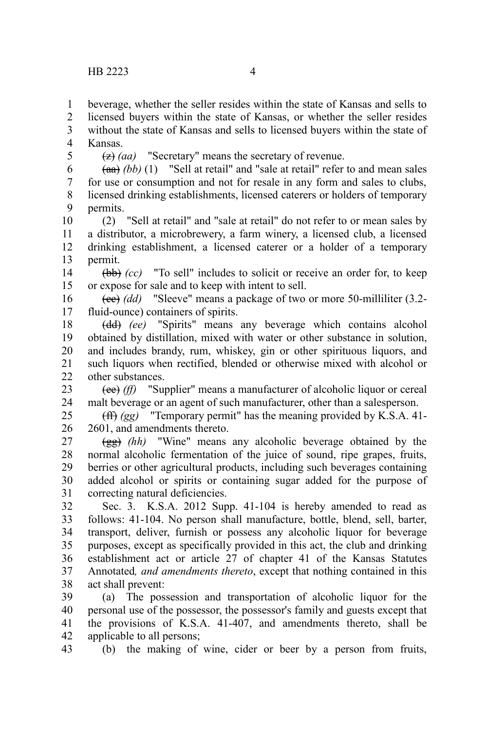beverage, whether the seller resides within the state of Kansas and sells to 1

licensed buyers within the state of Kansas, or whether the seller resides 2 3

without the state of Kansas and sells to licensed buyers within the state of Kansas. 4

5

(z) *(aa)* "Secretary" means the secretary of revenue.

(aa) *(bb)* (1) "Sell at retail" and "sale at retail" refer to and mean sales for use or consumption and not for resale in any form and sales to clubs, licensed drinking establishments, licensed caterers or holders of temporary permits. 6 7 8 9

(2) "Sell at retail" and "sale at retail" do not refer to or mean sales by a distributor, a microbrewery, a farm winery, a licensed club, a licensed drinking establishment, a licensed caterer or a holder of a temporary permit. 10 11 12 13

(bb) *(cc)* "To sell" includes to solicit or receive an order for, to keep or expose for sale and to keep with intent to sell. 14 15

(cc) *(dd)* "Sleeve" means a package of two or more 50-milliliter (3.2 fluid-ounce) containers of spirits. 16 17

(dd) *(ee)* "Spirits" means any beverage which contains alcohol obtained by distillation, mixed with water or other substance in solution, and includes brandy, rum, whiskey, gin or other spirituous liquors, and such liquors when rectified, blended or otherwise mixed with alcohol or other substances. 18 19 20 21  $22$ 

(ee) *(ff)* "Supplier" means a manufacturer of alcoholic liquor or cereal malt beverage or an agent of such manufacturer, other than a salesperson. 23 24

(ff) *(gg)* "Temporary permit" has the meaning provided by K.S.A. 41- 2601, and amendments thereto. 25 26

(gg) *(hh)* "Wine" means any alcoholic beverage obtained by the normal alcoholic fermentation of the juice of sound, ripe grapes, fruits, berries or other agricultural products, including such beverages containing added alcohol or spirits or containing sugar added for the purpose of correcting natural deficiencies. 27 28 29 30 31

Sec. 3. K.S.A. 2012 Supp. 41-104 is hereby amended to read as follows: 41-104. No person shall manufacture, bottle, blend, sell, barter, transport, deliver, furnish or possess any alcoholic liquor for beverage purposes, except as specifically provided in this act, the club and drinking establishment act or article 27 of chapter 41 of the Kansas Statutes Annotated*, and amendments thereto*, except that nothing contained in this act shall prevent: 32 33 34 35 36 37 38

(a) The possession and transportation of alcoholic liquor for the personal use of the possessor, the possessor's family and guests except that the provisions of K.S.A. 41-407, and amendments thereto, shall be applicable to all persons; 39 40 41 42

(b) the making of wine, cider or beer by a person from fruits, 43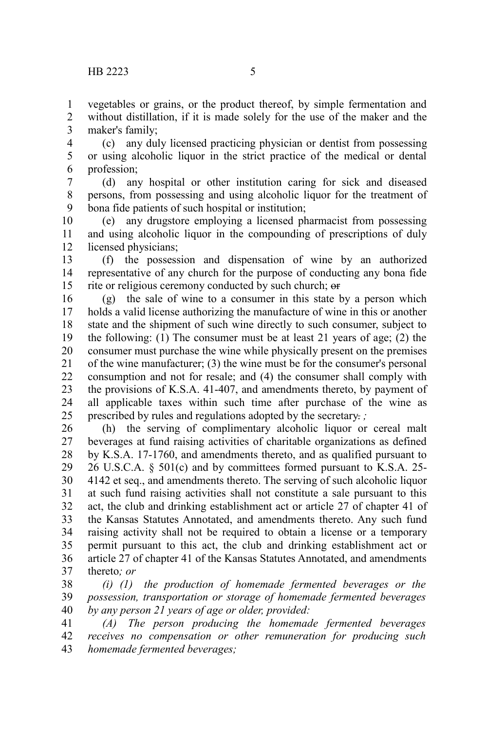vegetables or grains, or the product thereof, by simple fermentation and without distillation, if it is made solely for the use of the maker and the maker's family; 1 2 3

(c) any duly licensed practicing physician or dentist from possessing or using alcoholic liquor in the strict practice of the medical or dental profession; 4 5 6

(d) any hospital or other institution caring for sick and diseased persons, from possessing and using alcoholic liquor for the treatment of bona fide patients of such hospital or institution; 7 8 9

(e) any drugstore employing a licensed pharmacist from possessing and using alcoholic liquor in the compounding of prescriptions of duly licensed physicians; 10 11 12

(f) the possession and dispensation of wine by an authorized representative of any church for the purpose of conducting any bona fide rite or religious ceremony conducted by such church; or 13 14 15

(g) the sale of wine to a consumer in this state by a person which holds a valid license authorizing the manufacture of wine in this or another state and the shipment of such wine directly to such consumer, subject to the following: (1) The consumer must be at least 21 years of age; (2) the consumer must purchase the wine while physically present on the premises of the wine manufacturer; (3) the wine must be for the consumer's personal consumption and not for resale; and (4) the consumer shall comply with the provisions of K.S.A. 41-407, and amendments thereto, by payment of all applicable taxes within such time after purchase of the wine as prescribed by rules and regulations adopted by the secretary. *;* 16 17 18 19 20 21 22 23 24 25

(h) the serving of complimentary alcoholic liquor or cereal malt beverages at fund raising activities of charitable organizations as defined by K.S.A. 17-1760, and amendments thereto, and as qualified pursuant to 26 U.S.C.A. § 501(c) and by committees formed pursuant to K.S.A. 25- 4142 et seq., and amendments thereto. The serving of such alcoholic liquor at such fund raising activities shall not constitute a sale pursuant to this act, the club and drinking establishment act or article 27 of chapter 41 of the Kansas Statutes Annotated, and amendments thereto. Any such fund raising activity shall not be required to obtain a license or a temporary permit pursuant to this act, the club and drinking establishment act or article 27 of chapter 41 of the Kansas Statutes Annotated, and amendments thereto*; or* 26 27 28 29 30 31 32 33 34 35 36 37

*(i) (1) the production of homemade fermented beverages or the possession, transportation or storage of homemade fermented beverages by any person 21 years of age or older, provided:* 38 39 40

*(A) The person producing the homemade fermented beverages receives no compensation or other remuneration for producing such homemade fermented beverages;* 41 42 43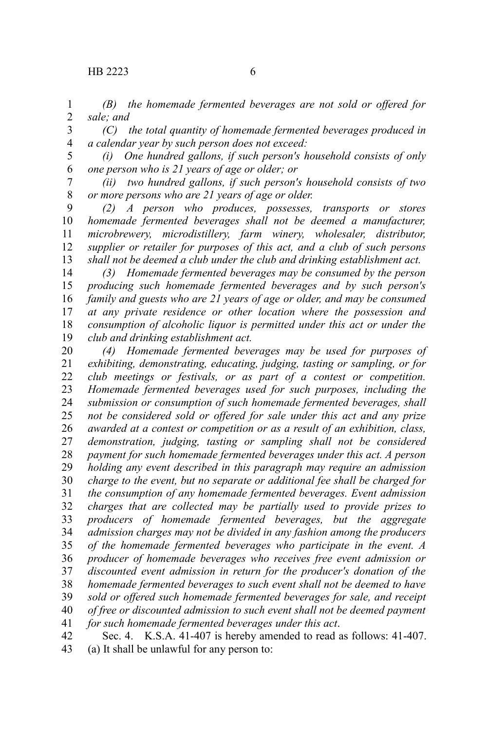*(B) the homemade fermented beverages are not sold or offered for sale; and* 1 2

*(C) the total quantity of homemade fermented beverages produced in a calendar year by such person does not exceed:*  3 4

*(i) One hundred gallons, if such person's household consists of only one person who is 21 years of age or older; or*  5 6

*(ii) two hundred gallons, if such person's household consists of two or more persons who are 21 years of age or older.* 7 8

*(2) A person who produces, possesses, transports or stores homemade fermented beverages shall not be deemed a manufacturer, microbrewery, microdistillery, farm winery, wholesaler, distributor, supplier or retailer for purposes of this act, and a club of such persons shall not be deemed a club under the club and drinking establishment act.* 9 10 11 12 13

*(3) Homemade fermented beverages may be consumed by the person producing such homemade fermented beverages and by such person's family and guests who are 21 years of age or older, and may be consumed at any private residence or other location where the possession and consumption of alcoholic liquor is permitted under this act or under the club and drinking establishment act.* 14 15 16 17 18 19

*(4) Homemade fermented beverages may be used for purposes of exhibiting, demonstrating, educating, judging, tasting or sampling, or for club meetings or festivals, or as part of a contest or competition. Homemade fermented beverages used for such purposes, including the submission or consumption of such homemade fermented beverages, shall not be considered sold or offered for sale under this act and any prize awarded at a contest or competition or as a result of an exhibition, class, demonstration, judging, tasting or sampling shall not be considered payment for such homemade fermented beverages under this act. A person holding any event described in this paragraph may require an admission charge to the event, but no separate or additional fee shall be charged for the consumption of any homemade fermented beverages. Event admission charges that are collected may be partially used to provide prizes to producers of homemade fermented beverages, but the aggregate admission charges may not be divided in any fashion among the producers of the homemade fermented beverages who participate in the event. A producer of homemade beverages who receives free event admission or discounted event admission in return for the producer's donation of the homemade fermented beverages to such event shall not be deemed to have sold or offered such homemade fermented beverages for sale, and receipt of free or discounted admission to such event shall not be deemed payment for such homemade fermented beverages under this act*. 20 21 22 23 24 25 26 27 28 29 30 31 32 33 34 35 36 37 38 39 40 41

Sec. 4. K.S.A. 41-407 is hereby amended to read as follows: 41-407. (a) It shall be unlawful for any person to: 42 43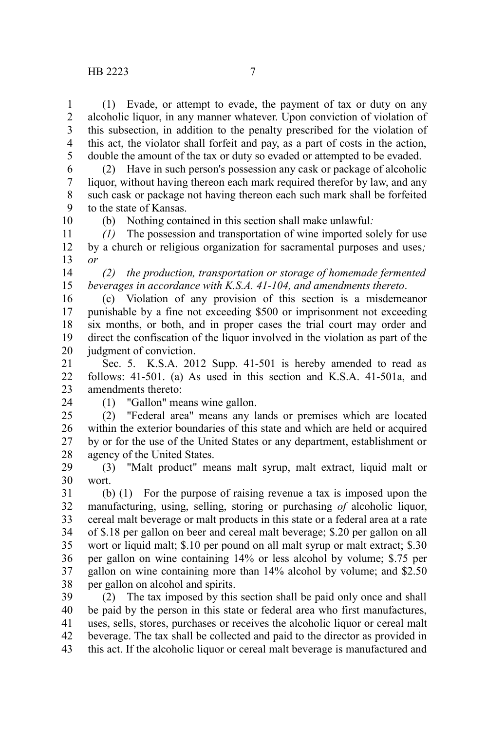(1) Evade, or attempt to evade, the payment of tax or duty on any alcoholic liquor, in any manner whatever. Upon conviction of violation of this subsection, in addition to the penalty prescribed for the violation of this act, the violator shall forfeit and pay, as a part of costs in the action, double the amount of the tax or duty so evaded or attempted to be evaded. 1 2 3 4 5

(2) Have in such person's possession any cask or package of alcoholic liquor, without having thereon each mark required therefor by law, and any such cask or package not having thereon each such mark shall be forfeited to the state of Kansas. 6 7 8 9 10

(b) Nothing contained in this section shall make unlawful*:*

*(1)* The possession and transportation of wine imported solely for use by a church or religious organization for sacramental purposes and uses*; or* 11 12 13

*(2) the production, transportation or storage of homemade fermented beverages in accordance with K.S.A. 41-104, and amendments thereto*. 14 15

(c) Violation of any provision of this section is a misdemeanor punishable by a fine not exceeding \$500 or imprisonment not exceeding six months, or both, and in proper cases the trial court may order and direct the confiscation of the liquor involved in the violation as part of the judgment of conviction. 16 17 18 19 20

Sec. 5. K.S.A. 2012 Supp. 41-501 is hereby amended to read as follows: 41-501. (a) As used in this section and K.S.A. 41-501a, and amendments thereto: 21 22 23

24

(1) "Gallon" means wine gallon.

(2) "Federal area" means any lands or premises which are located within the exterior boundaries of this state and which are held or acquired by or for the use of the United States or any department, establishment or agency of the United States. 25 26 27 28

(3) "Malt product" means malt syrup, malt extract, liquid malt or wort. 29 30

(b) (1) For the purpose of raising revenue a tax is imposed upon the manufacturing, using, selling, storing or purchasing *of* alcoholic liquor, cereal malt beverage or malt products in this state or a federal area at a rate of \$.18 per gallon on beer and cereal malt beverage; \$.20 per gallon on all wort or liquid malt; \$.10 per pound on all malt syrup or malt extract; \$.30 per gallon on wine containing 14% or less alcohol by volume; \$.75 per gallon on wine containing more than 14% alcohol by volume; and \$2.50 per gallon on alcohol and spirits. 31 32 33 34 35 36 37 38

(2) The tax imposed by this section shall be paid only once and shall be paid by the person in this state or federal area who first manufactures, uses, sells, stores, purchases or receives the alcoholic liquor or cereal malt beverage. The tax shall be collected and paid to the director as provided in this act. If the alcoholic liquor or cereal malt beverage is manufactured and 39 40 41 42 43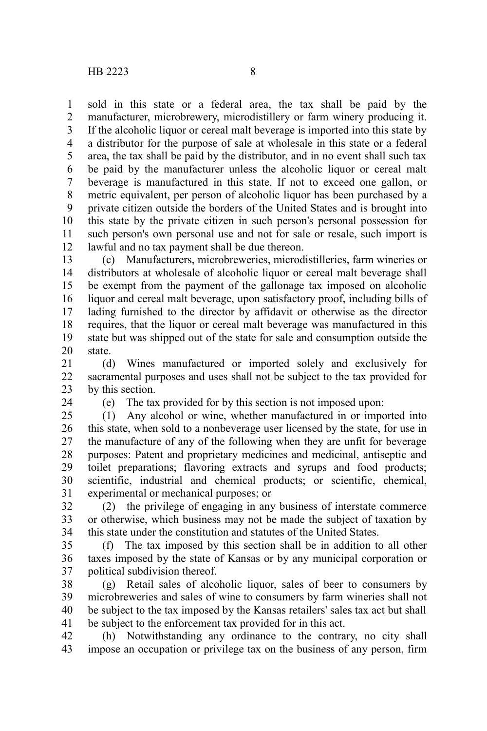sold in this state or a federal area, the tax shall be paid by the manufacturer, microbrewery, microdistillery or farm winery producing it. If the alcoholic liquor or cereal malt beverage is imported into this state by a distributor for the purpose of sale at wholesale in this state or a federal area, the tax shall be paid by the distributor, and in no event shall such tax be paid by the manufacturer unless the alcoholic liquor or cereal malt beverage is manufactured in this state. If not to exceed one gallon, or metric equivalent, per person of alcoholic liquor has been purchased by a private citizen outside the borders of the United States and is brought into this state by the private citizen in such person's personal possession for such person's own personal use and not for sale or resale, such import is lawful and no tax payment shall be due thereon. 1 2 3 4 5 6 7 8 9 10 11 12

(c) Manufacturers, microbreweries, microdistilleries, farm wineries or distributors at wholesale of alcoholic liquor or cereal malt beverage shall be exempt from the payment of the gallonage tax imposed on alcoholic liquor and cereal malt beverage, upon satisfactory proof, including bills of lading furnished to the director by affidavit or otherwise as the director requires, that the liquor or cereal malt beverage was manufactured in this state but was shipped out of the state for sale and consumption outside the state. 13 14 15 16 17 18 19 20

(d) Wines manufactured or imported solely and exclusively for sacramental purposes and uses shall not be subject to the tax provided for by this section. 21 22 23

24

(e) The tax provided for by this section is not imposed upon:

(1) Any alcohol or wine, whether manufactured in or imported into this state, when sold to a nonbeverage user licensed by the state, for use in the manufacture of any of the following when they are unfit for beverage purposes: Patent and proprietary medicines and medicinal, antiseptic and toilet preparations; flavoring extracts and syrups and food products; scientific, industrial and chemical products; or scientific, chemical, experimental or mechanical purposes; or 25 26 27 28 29 30 31

(2) the privilege of engaging in any business of interstate commerce or otherwise, which business may not be made the subject of taxation by this state under the constitution and statutes of the United States. 32 33 34

(f) The tax imposed by this section shall be in addition to all other taxes imposed by the state of Kansas or by any municipal corporation or political subdivision thereof. 35 36 37

(g) Retail sales of alcoholic liquor, sales of beer to consumers by microbreweries and sales of wine to consumers by farm wineries shall not be subject to the tax imposed by the Kansas retailers' sales tax act but shall be subject to the enforcement tax provided for in this act. 38 39 40 41

(h) Notwithstanding any ordinance to the contrary, no city shall impose an occupation or privilege tax on the business of any person, firm 42 43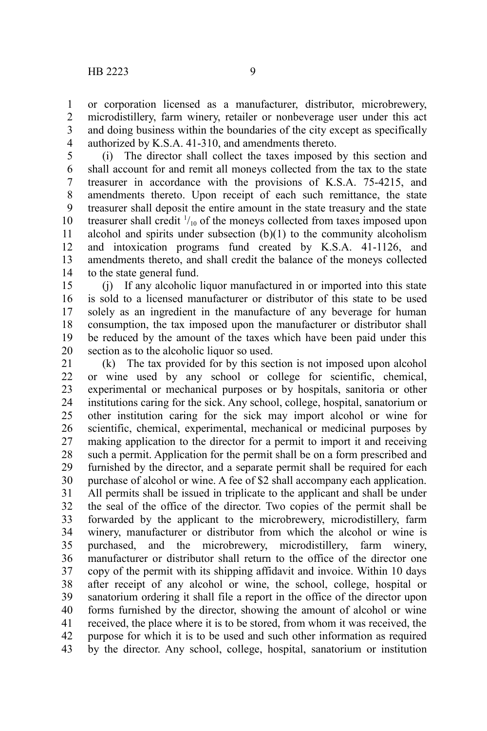or corporation licensed as a manufacturer, distributor, microbrewery, microdistillery, farm winery, retailer or nonbeverage user under this act and doing business within the boundaries of the city except as specifically authorized by K.S.A. 41-310, and amendments thereto. 1 2 3 4

(i) The director shall collect the taxes imposed by this section and shall account for and remit all moneys collected from the tax to the state treasurer in accordance with the provisions of K.S.A. 75-4215, and amendments thereto. Upon receipt of each such remittance, the state treasurer shall deposit the entire amount in the state treasury and the state treasurer shall credit  $\frac{1}{10}$  of the moneys collected from taxes imposed upon alcohol and spirits under subsection  $(b)(1)$  to the community alcoholism and intoxication programs fund created by K.S.A. 41-1126, and amendments thereto, and shall credit the balance of the moneys collected to the state general fund. 5 6 7 8 9 10 11 12 13 14

(j) If any alcoholic liquor manufactured in or imported into this state is sold to a licensed manufacturer or distributor of this state to be used solely as an ingredient in the manufacture of any beverage for human consumption, the tax imposed upon the manufacturer or distributor shall be reduced by the amount of the taxes which have been paid under this section as to the alcoholic liquor so used. 15 16 17 18 19 20

(k) The tax provided for by this section is not imposed upon alcohol or wine used by any school or college for scientific, chemical, experimental or mechanical purposes or by hospitals, sanitoria or other institutions caring for the sick. Any school, college, hospital, sanatorium or other institution caring for the sick may import alcohol or wine for scientific, chemical, experimental, mechanical or medicinal purposes by making application to the director for a permit to import it and receiving such a permit. Application for the permit shall be on a form prescribed and furnished by the director, and a separate permit shall be required for each purchase of alcohol or wine. A fee of \$2 shall accompany each application. All permits shall be issued in triplicate to the applicant and shall be under the seal of the office of the director. Two copies of the permit shall be forwarded by the applicant to the microbrewery, microdistillery, farm winery, manufacturer or distributor from which the alcohol or wine is purchased, and the microbrewery, microdistillery, farm winery, manufacturer or distributor shall return to the office of the director one copy of the permit with its shipping affidavit and invoice. Within 10 days after receipt of any alcohol or wine, the school, college, hospital or sanatorium ordering it shall file a report in the office of the director upon forms furnished by the director, showing the amount of alcohol or wine received, the place where it is to be stored, from whom it was received, the purpose for which it is to be used and such other information as required by the director. Any school, college, hospital, sanatorium or institution 21 22 23 24 25 26 27 28 29 30 31 32 33 34 35 36 37 38 39 40 41 42 43